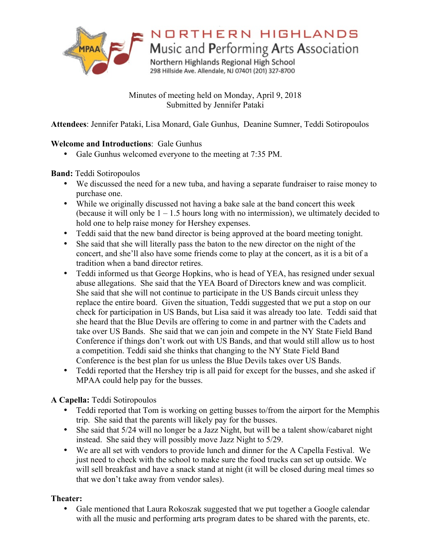

NORTHERN HIGHLANDS

Music and Performing Arts Association

Northern Highlands Regional High School 298 Hillside Ave. Allendale, NJ 07401 (201) 327-8700

Minutes of meeting held on Monday, April 9, 2018 Submitted by Jennifer Pataki

**Attendees**: Jennifer Pataki, Lisa Monard, Gale Gunhus, Deanine Sumner, Teddi Sotiropoulos

# **Welcome and Introductions**: Gale Gunhus

• Gale Gunhus welcomed everyone to the meeting at 7:35 PM.

## **Band:** Teddi Sotiropoulos

- We discussed the need for a new tuba, and having a separate fundraiser to raise money to purchase one.
- While we originally discussed not having a bake sale at the band concert this week (because it will only be  $1 - 1.5$  hours long with no intermission), we ultimately decided to hold one to help raise money for Hershey expenses.
- Teddi said that the new band director is being approved at the board meeting tonight.
- She said that she will literally pass the baton to the new director on the night of the concert, and she'll also have some friends come to play at the concert, as it is a bit of a tradition when a band director retires.
- Teddi informed us that George Hopkins, who is head of YEA, has resigned under sexual abuse allegations. She said that the YEA Board of Directors knew and was complicit. She said that she will not continue to participate in the US Bands circuit unless they replace the entire board. Given the situation, Teddi suggested that we put a stop on our check for participation in US Bands, but Lisa said it was already too late. Teddi said that she heard that the Blue Devils are offering to come in and partner with the Cadets and take over US Bands. She said that we can join and compete in the NY State Field Band Conference if things don't work out with US Bands, and that would still allow us to host a competition. Teddi said she thinks that changing to the NY State Field Band Conference is the best plan for us unless the Blue Devils takes over US Bands.
- Teddi reported that the Hershey trip is all paid for except for the busses, and she asked if MPAA could help pay for the busses.

# **A Capella:** Teddi Sotiropoulos

- Teddi reported that Tom is working on getting busses to/from the airport for the Memphis trip. She said that the parents will likely pay for the busses.
- She said that 5/24 will no longer be a Jazz Night, but will be a talent show/cabaret night instead. She said they will possibly move Jazz Night to 5/29.
- We are all set with vendors to provide lunch and dinner for the A Capella Festival. We just need to check with the school to make sure the food trucks can set up outside. We will sell breakfast and have a snack stand at night (it will be closed during meal times so that we don't take away from vendor sales).

# **Theater:**

• Gale mentioned that Laura Rokoszak suggested that we put together a Google calendar with all the music and performing arts program dates to be shared with the parents, etc.